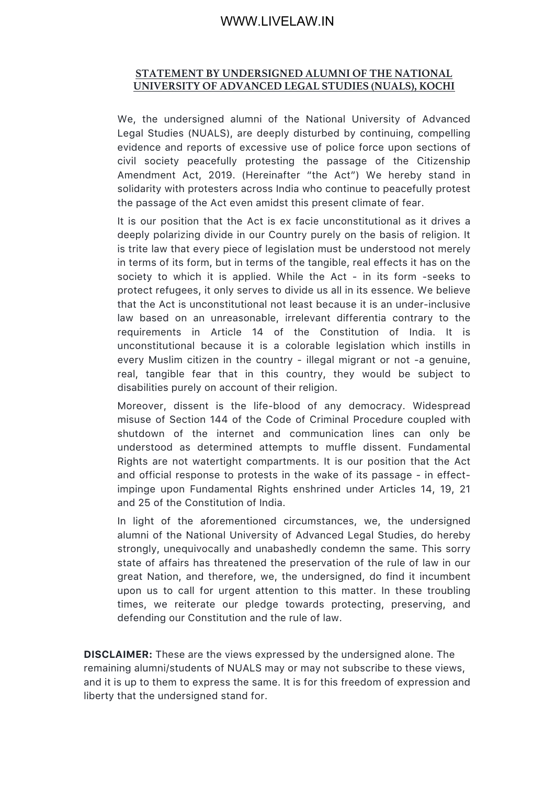## **STATEMENT BY UNDERSIGNED ALUMNI OF THE NATIONAL UNIVERSITY OF ADVANCED LEGAL STUDIES (NUALS), KOCHI**

We, the undersigned alumni of the National University of Advanced Legal Studies (NUALS), are deeply disturbed by continuing, compelling evidence and reports of excessive use of police force upon sections of civil society peacefully protesting the passage of the Citizenship Amendment Act, 2019. (Hereinafter "the Act") We hereby stand in solidarity with protesters across India who continue to peacefully protest the passage of the Act even amidst this present climate of fear.

It is our position that the Act is ex facie unconstitutional as it drives a deeply polarizing divide in our Country purely on the basis of religion. It is trite law that every piece of legislation must be understood not merely in terms of its form, but in terms of the tangible, real effects it has on the society to which it is applied. While the Act - in its form -seeks to protect refugees, it only serves to divide us all in its essence. We believe that the Act is unconstitutional not least because it is an under-inclusive law based on an unreasonable, irrelevant differentia contrary to the requirements in Article 14 of the Constitution of India. It is unconstitutional because it is a colorable legislation which instills in every Muslim citizen in the country - illegal migrant or not -a genuine, real, tangible fear that in this country, they would be subject to disabilities purely on account of their religion.

Moreover, dissent is the life-blood of any democracy. Widespread misuse of Section 144 of the Code of Criminal Procedure coupled with shutdown of the internet and communication lines can only be understood as determined attempts to muffle dissent. Fundamental Rights are not watertight compartments. It is our position that the Act and official response to protests in the wake of its passage - in effectimpinge upon Fundamental Rights enshrined under Articles 14, 19, 21 and 25 of the Constitution of India.

In light of the aforementioned circumstances, we, the undersigned alumni of the National University of Advanced Legal Studies, do hereby strongly, unequivocally and unabashedly condemn the same. This sorry state of affairs has threatened the preservation of the rule of law in our great Nation, and therefore, we, the undersigned, do find it incumbent upon us to call for urgent attention to this matter. In these troubling times, we reiterate our pledge towards protecting, preserving, and defending our Constitution and the rule of law.

**DISCLAIMER:** These are the views expressed by the undersigned alone. The remaining alumni/students of NUALS may or may not subscribe to these views, and it is up to them to express the same. It is for this freedom of expression and liberty that the undersigned stand for.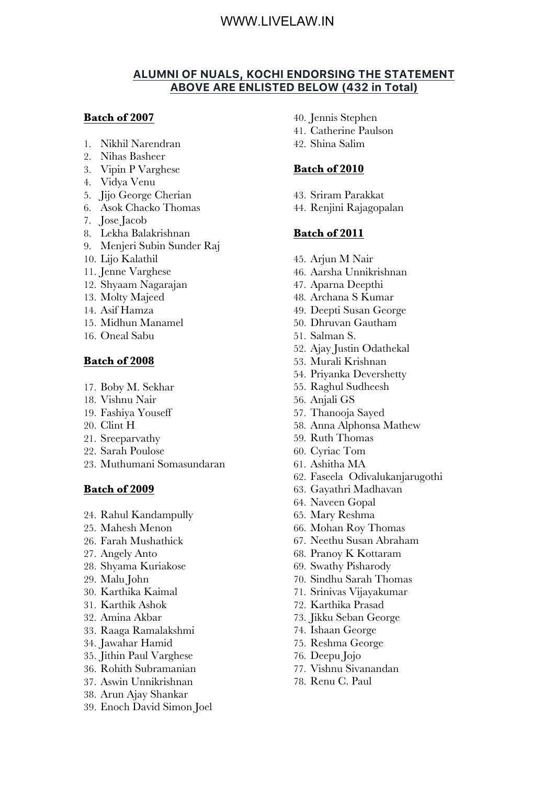## **ALUMNI OF NUALS, KOCHI ENDORSING THE STATEMENT ABOVE ARE ENLISTED BELOW (432 in Total)**

## **Batch of 2007**

- 1. Nikhil Narendran
- 2. Nihas Basheer
- 3. Vipin P Varghese
- 4. Vidya Venu
- 5. Jijo George Cherian
- 6. Asok Chacko Thomas
- 7. Jose Jacob
- 8. Lekha Balakrishnan
- 9. Menjeri Subin Sunder Raj
- 10. Lijo Kalathil
- 11. Jenne Varghese
- 12. Shyaam Nagarajan
- 13. Molty Majeed
- 14. Asif Hamza
- 15. Midhun Manamel
- 16. Oneal Sabu

### **Batch of 2008**

- 17. Boby M. Sekhar
- 18. Vishnu Nair
- 19. Fashiya Youseff
- 20. Clint H
- 21. Sreeparvathy
- 22. Sarah Poulose
- 23. Muthumani Somasundaran

#### **Batch of 2009**

- 24. Rahul Kandampully
- 25. Mahesh Menon
- 26. Farah Mushathick
- 27. Angely Anto
- 28. Shyama Kuriakose
- 29. Malu John
- 30. Karthika Kaimal
- 31. Karthik Ashok
- 32. Amina Akbar
- 33. Raaga Ramalakshmi
- 34. Jawahar Hamid
- 35. Jithin Paul Varghese
- 36. Rohith Subramanian
- 37. Aswin Unnikrishnan
- 38. Arun Ajay Shankar
- 39. Enoch David Simon Joel
- 40. Jennis Stephen
- 41. Catherine Paulson
- 42. Shina Salim

### **Batch of 2010**

- 43. Sriram Parakkat
- 44. Renjini Rajagopalan

- 45. Arjun M Nair
- 46. Aarsha Unnikrishnan
- 47. Aparna Deepthi
- 48. Archana S Kumar
- 49. Deepti Susan George
- 50. Dhruvan Gautham
- 51. Salman S.
- 52. Ajay Justin Odathekal
- 53. Murali Krishnan
- 54. Priyanka Devershetty
- 55. Raghul Sudheesh
- 56. Anjali GS
- 57. Thanooja Sayed
- 58. Anna Alphonsa Mathew
- 59. Ruth Thomas
- 60. Cyriac Tom
- 61. Ashitha MA
- 62. Faseela Odivalukanjarugothi
- 63. Gayathri Madhavan
- 64. Naveen Gopal
- 65. Mary Reshma
- 66. Mohan Roy Thomas
- 67. Neethu Susan Abraham
- 68. Pranoy K Kottaram
- 69. Swathy Pisharody
- 70. Sindhu Sarah Thomas
- 71. Srinivas Vijayakumar
- 72. Karthika Prasad
- 73. Jikku Seban George
- 74. Ishaan George
- 75. Reshma George
- 76. Deepu Jojo
- 77. Vishnu Sivanandan
- 78. Renu C. Paul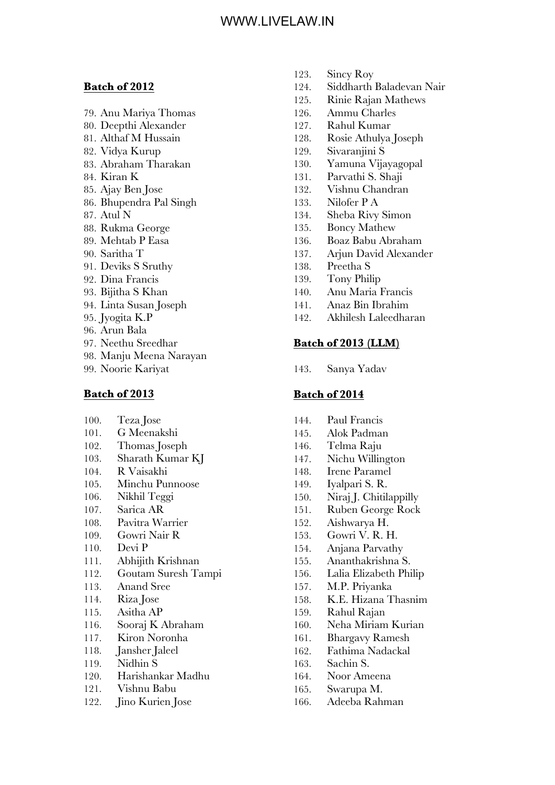#### **Batch of 2012**

- 79. Anu Mariya Thomas
- 80. Deepthi Alexander
- 81. Althaf M Hussain
- 82. Vidya Kurup
- 83. Abraham Tharakan
- 84. Kiran K
- 85. Ajay Ben Jose
- 86. Bhupendra Pal Singh
- 87. Atul N
- 88. Rukma George
- 89. Mehtab P Easa
- 90. Saritha T
- 91. Deviks S Sruthy
- 92. Dina Francis
- 93. Bijitha S Khan
- 94. Linta Susan Joseph
- 95. Jyogita K.P
- 96. Arun Bala
- 97. Neethu Sreedhar
- 98. Manju Meena Narayan
- 99. Noorie Kariyat

## **Batch of 2013**

- 100. Teza Jose
- 101. G Meenakshi
- 102. Thomas Joseph
- 103. Sharath Kumar KJ
- 104. R Vaisakhi
- 105. Minchu Punnoose
- 106. Nikhil Teggi
- 107. Sarica AR
- 108. Pavitra Warrier
- 109. Gowri Nair R
- 110. Devi P
- 111. Abhijith Krishnan
- 112. Goutam Suresh Tampi
- 113. Anand Sree
- 114. Riza Jose
- 115. Asitha AP
- 116. Sooraj K Abraham
- 117. Kiron Noronha
- 118. Jansher Jaleel
- 119. Nidhin S
- 120. Harishankar Madhu
- 121. Vishnu Babu
- 122. Jino Kurien Jose
- 123. Sincy Roy
- 124. Siddharth Baladevan Nair
- 125. Rinie Rajan Mathews
- 126. Ammu Charles
- 127. Rahul Kumar
- 128. Rosie Athulya Joseph
- 129. Sivaranjini S
- 130. Yamuna Vijayagopal
- 131. Parvathi S. Shaji
- 132. Vishnu Chandran
- 133. Nilofer P A
- 134. Sheba Rivy Simon
- 135. Boncy Mathew
- 136. Boaz Babu Abraham
- 137. Arjun David Alexander
- 138. Preetha S
- 139. Tony Philip
- 140. Anu Maria Francis
- 141. Anaz Bin Ibrahim
- 142. Akhilesh Laleedharan

## **Batch of 2013 (LLM)**

143. Sanya Yadav

- 144. Paul Francis
- 145. Alok Padman
- 146. Telma Raju
- 147. Nichu Willington
- 148. Irene Paramel
- 149. Iyalpari S. R.
- 150. Niraj J. Chitilappilly
- 151. Ruben George Rock
- 152. Aishwarya H.
- 153. Gowri V. R. H.
- 154. Anjana Parvathy
- 155. Ananthakrishna S.
- 156. Lalia Elizabeth Philip
- 157. M.P. Priyanka
- 158. K.E. Hizana Thasnim
- 159. Rahul Rajan
- 160. Neha Miriam Kurian
- 161. Bhargavy Ramesh
- 162. Fathima Nadackal
- 163. Sachin S.
- 164. Noor Ameena
- 165. Swarupa M.
- 166. Adeeba Rahman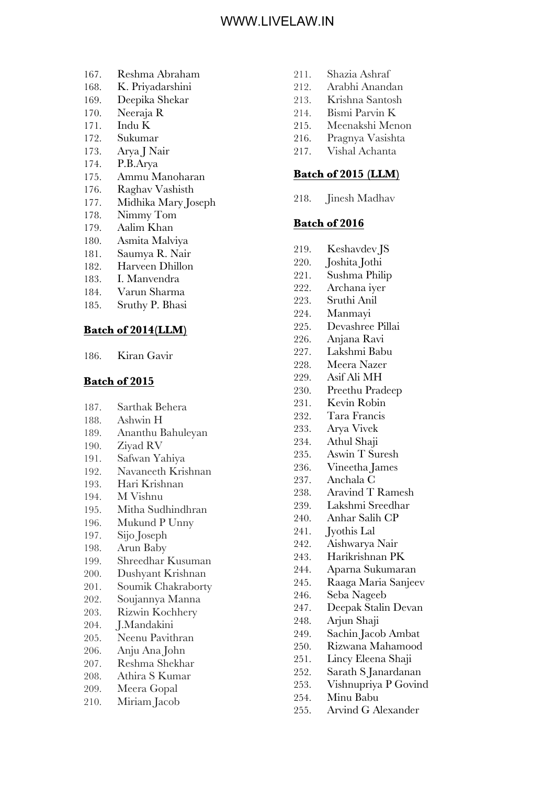- 167. Reshma Abraham
- 168. K. Priyadarshini
- 169. Deepika Shekar
- 170. Neeraja R
- 171. Indu K
- 172. Sukumar
- 173. Arya J Nair
- 174. P.B.Arya
- 175. Ammu Manoharan
- 176. Raghav Vashisth
- 177. Midhika Mary Joseph
- 178. Nimmy Tom
- 179. Aalim Khan
- 180. Asmita Malviya
- 181. Saumya R. Nair
- 182. Harveen Dhillon
- 183. I. Manvendra
- 184. Varun Sharma
- 185. Sruthy P. Bhasi

### **Batch of 2014(LLM)**

186. Kiran Gavir

#### **Batch of 2015**

- 187. Sarthak Behera
- 188. Ashwin H
- 189. Ananthu Bahuleyan
- 190. Ziyad RV
- 191. Safwan Yahiya
- 192. Navaneeth Krishnan
- 193. Hari Krishnan
- 194. M Vishnu
- 195. Mitha Sudhindhran
- 196. Mukund P Unny
- 197. Sijo Joseph
- 198. Arun Baby
- 199. Shreedhar Kusuman
- 200. Dushyant Krishnan
- 201. Soumik Chakraborty
- 202. Soujannya Manna
- 203. Rizwin Kochhery
- 204. J.Mandakini
- 205. Neenu Pavithran
- 206. Anju Ana John
- 207. Reshma Shekhar
- 208. Athira S Kumar
- 209. Meera Gopal
- 210. Miriam Jacob
- 211. Shazia Ashraf
- 212. Arabhi Anandan
- 213. Krishna Santosh
- 214. Bismi Parvin K
- 215. Meenakshi Menon
- 216. Pragnya Vasishta
- 217. Vishal Achanta

### **Batch of 2015 (LLM)**

218. Jinesh Madhav

- 219. Keshavdev JS
- 220. Joshita Jothi
- 221. Sushma Philip
- 222. Archana iyer
- 223. Sruthi Anil
- 224. Manmayi
- 225. Devashree Pillai
- 226. Anjana Ravi
- 227. Lakshmi Babu
- 228. Meera Nazer
- 229. Asif Ali MH
- 230. Preethu Pradeep
- 231. Kevin Robin
- 232. Tara Francis
- 233. Arya Vivek
- 234. Athul Shaji
- 235. Aswin T Suresh
- 236. Vineetha James
- 237. Anchala C
- 238. Aravind T Ramesh
- 239. Lakshmi Sreedhar
- 240. Anhar Salih CP
- 241. Jyothis Lal
- 242. Aishwarya Nair
- 243. Harikrishnan PK
- 244. Aparna Sukumaran
- 245. Raaga Maria Sanjeev
- 246. Seba Nageeb
- 247. Deepak Stalin Devan
- 248. Arjun Shaji
- 249. Sachin Jacob Ambat
- 250. Rizwana Mahamood
- 251. Lincy Eleena Shaji
- 252. Sarath S Janardanan
- 253. Vishnupriya P Govind
- 254. Minu Babu
- 255. Arvind G Alexander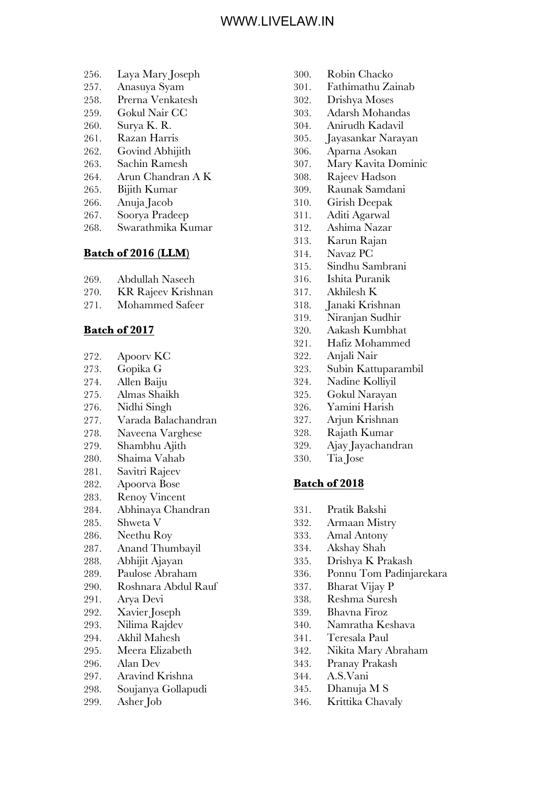- 256. Laya Mary Joseph
- 257. Anasuya Syam
- 258. Prerna Venkatesh
- 259. Gokul Nair CC
- 260. Surya K. R.
- 261. Razan Harris
- 262. Govind Abhijith
- 263. Sachin Ramesh
- 264. Arun Chandran A K
- 265. Bijith Kumar
- 266. Anuja Jacob
- 267. Soorya Pradeep
- 268. Swarathmika Kumar

## **Batch of 2016 (LLM)**

- 269. Abdullah Naseeh
- 270. KR Rajeev Krishnan
- 271. Mohammed Safeer

#### **Batch of 2017**

- 272. Apoorv KC
- 273. Gopika G
- 274. Allen Baiju
- 275. Almas Shaikh
- 276. Nidhi Singh
- 277. Varada Balachandran
- 278. Naveena Varghese
- 279. Shambhu Ajith
- 280. Shaima Vahab
- 281. Savitri Rajeev
- 282. Apoorva Bose
- 283. Renoy Vincent
- 284. Abhinaya Chandran
- 285. Shweta V
- 286. Neethu Roy
- 287. Anand Thumbayil
- 288. Abhijit Ajayan
- 289. Paulose Abraham
- 290. Roshnara Abdul Rauf
- 291. Arya Devi
- 292. Xavier Joseph
- 293. Nilima Rajdev
- 294. Akhil Mahesh
- 295. Meera Elizabeth
- 296. Alan Dev
- 297. Aravind Krishna
- 298. Soujanya Gollapudi
- 299. Asher Job
- 300. Robin Chacko
- 301. Fathimathu Zainab
- 302. Drishya Moses
- 303. Adarsh Mohandas
- 304. Anirudh Kadavil
- 305. Jayasankar Narayan
- 306. Aparna Asokan
- 307. Mary Kavita Dominic
- 308. Rajeev Hadson
- 309. Raunak Samdani
- 310. Girish Deepak
- 311. Aditi Agarwal
- 312. Ashima Nazar
- 313. Karun Rajan
- 314. Navaz PC
- 315. Sindhu Sambrani
- 316. Ishita Puranik
- 317. Akhilesh K
- 318. Janaki Krishnan
- 319. Niranjan Sudhir
- 320. Aakash Kumbhat
- 321. Hafiz Mohammed
- 322. Anjali Nair
- 323. Subin Kattuparambil
- 324. Nadine Kolliyil
- 325. Gokul Narayan
- 326. Yamini Harish
- 327. Arjun Krishnan
- 328. Rajath Kumar
- 329. Ajay Jayachandran
- 330. Tia Jose

- 331. Pratik Bakshi
- 332. Armaan Mistry
- 333. Amal Antony
- 334. Akshay Shah
- 335. Drishya K Prakash
- 336. Ponnu Tom Padinjarekara
- 337. Bharat Vijay P
- 338. Reshma Suresh
- 339. Bhavna Firoz
- 340. Namratha Keshava
- 341. Teresala Paul
- 342. Nikita Mary Abraham
- 343. Pranay Prakash
- 344. A.S.Vani
- 345. Dhanuja M S
- 346. Krittika Chavaly